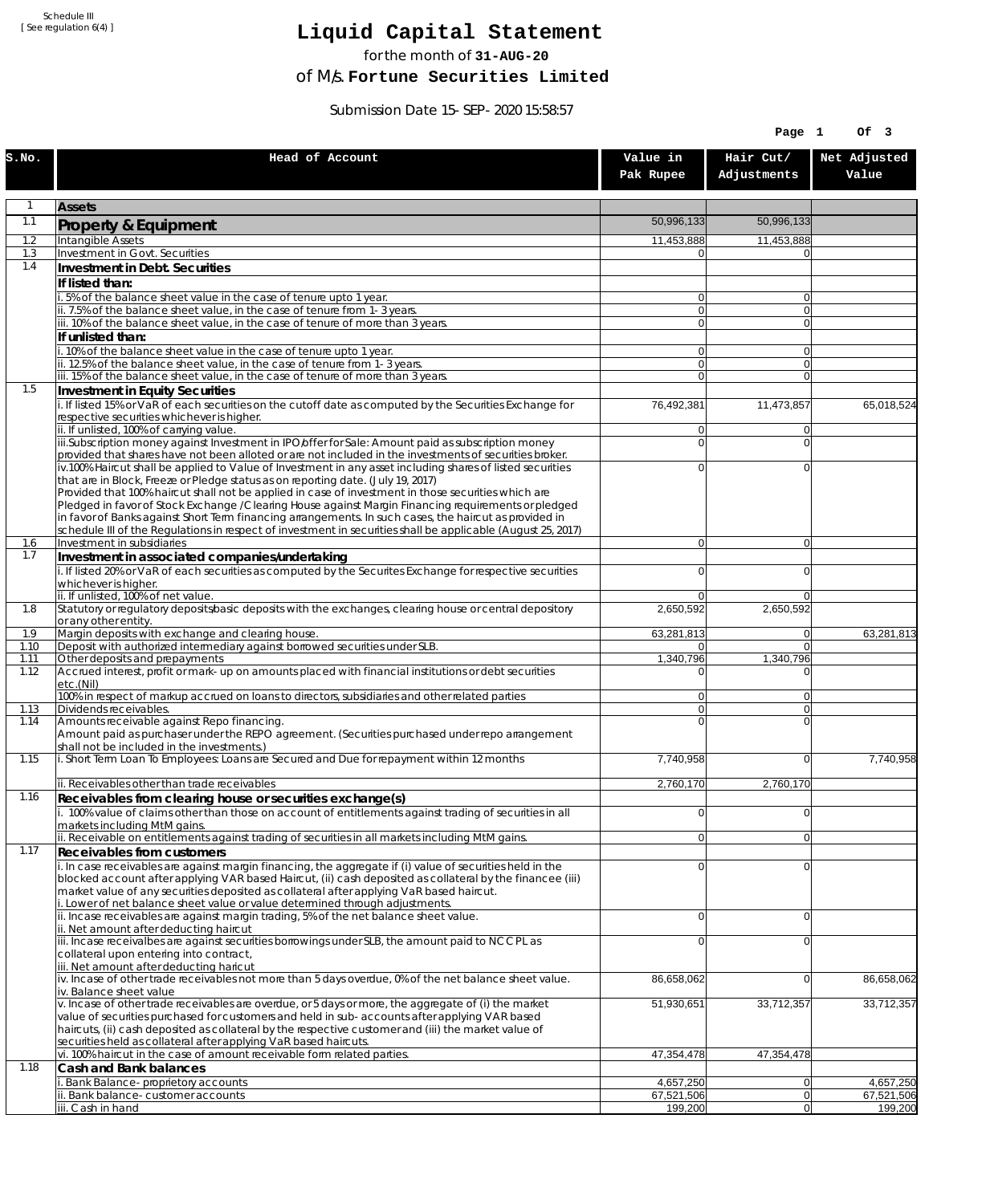Schedule III [ See regulation 6(4) ]

## **Liquid Capital Statement**

for the month of **31-AUG-20**

of M/s. **Fortune Securities Limited**

Submission Date 15-SEP-2020 15:58:57

|              |                                                                                                                                                                                                                        |                                  | Page 1                   | Of 3                    |
|--------------|------------------------------------------------------------------------------------------------------------------------------------------------------------------------------------------------------------------------|----------------------------------|--------------------------|-------------------------|
| S.NO.        | Head of Account                                                                                                                                                                                                        | Value in<br>Pak Rupee            | Hair Cut/<br>Adjustments | Net Adjusted<br>Value   |
| 1            | <b>Assets</b>                                                                                                                                                                                                          |                                  |                          |                         |
| 1.1          | Property & Equipment                                                                                                                                                                                                   | 50,996,133                       | 50,996,133               |                         |
| 1.2          | Intangible Assets                                                                                                                                                                                                      | 11,453,888                       | 11,453,888               |                         |
| 1.3<br>1.4   | Investment in Govt. Securities<br>Investment in Debt. Securities                                                                                                                                                       | $\Omega$                         |                          |                         |
|              | If listed than:                                                                                                                                                                                                        |                                  |                          |                         |
|              | 5% of the balance sheet value in the case of tenure upto 1 year.                                                                                                                                                       | $\Omega$                         | $\overline{0}$           |                         |
|              | ii. 7.5% of the balance sheet value, in the case of tenure from 1-3 years.                                                                                                                                             | $\overline{0}$                   | $\overline{0}$           |                         |
|              | iii. 10% of the balance sheet value, in the case of tenure of more than 3 years.<br>If unlisted than:                                                                                                                  | $\Omega$                         | $\overline{0}$           |                         |
|              | . 10% of the balance sheet value in the case of tenure upto 1 year.                                                                                                                                                    | $\overline{0}$                   | $\overline{0}$           |                         |
|              | ii. 12.5% of the balance sheet value, in the case of tenure from 1-3 years.                                                                                                                                            | $\overline{0}$                   | $\overline{0}$           |                         |
| 1.5          | iii. 15% of the balance sheet value, in the case of tenure of more than 3 years.<br>Investment in Equity Securities                                                                                                    | $\Omega$                         | $\Omega$                 |                         |
|              | i. If listed 15% or VaR of each securities on the cutoff date as computed by the Securities Exchange for                                                                                                               | 76,492,381                       | 11,473,857               | 65,018,524              |
|              | respective securities whichever is higher.                                                                                                                                                                             |                                  |                          |                         |
|              | ii. If unlisted, 100% of carrying value.<br>iii.Subscription money against Investment in IPO/offer for Sale: Amount paid as subscription money                                                                         | $\overline{0}$<br>$\overline{0}$ | $\Omega$<br>$\Omega$     |                         |
|              | provided that shares have not been alloted or are not included in the investments of securities broker.                                                                                                                |                                  |                          |                         |
|              | iv.100% Haircut shall be applied to Value of Investment in any asset including shares of listed securities                                                                                                             | 0                                | $\Omega$                 |                         |
|              | that are in Block, Freeze or Pledge status as on reporting date. (July 19, 2017)<br>Provided that 100% haircut shall not be applied in case of investment in those securities which are                                |                                  |                          |                         |
|              | Pledged in favor of Stock Exchange / Clearing House against Margin Financing requirements or pledged                                                                                                                   |                                  |                          |                         |
|              | in favor of Banks against Short Term financing arrangements. In such cases, the haircut as provided in<br>schedule III of the Regulations in respect of investment in securities shall be applicable (August 25, 2017) |                                  |                          |                         |
| 1.6          | Investment in subsidiaries                                                                                                                                                                                             | $\Omega$                         | $\overline{0}$           |                         |
| 1.7          | Investment in associated companies/undertaking                                                                                                                                                                         |                                  |                          |                         |
|              | i. If listed 20% or VaR of each securities as computed by the Securites Exchange for respective securities<br>whichever is higher.                                                                                     | $\Omega$                         | $\Omega$                 |                         |
|              | ii. If unlisted, 100% of net value.                                                                                                                                                                                    | $\Omega$                         | $\Omega$                 |                         |
| 1.8          | Statutory or regulatory deposits/basic deposits with the exchanges, clearing house or central depository                                                                                                               | 2,650,592                        | 2,650,592                |                         |
| 1.9          | or any other entity.<br>Margin deposits with exchange and clearing house.                                                                                                                                              | 63,281,813                       | $\overline{0}$           | 63,281,813              |
| 1.10         | Deposit with authorized intermediary against borrowed securities under SLB.                                                                                                                                            | 01                               | $\overline{0}$           |                         |
| 1.11<br>1.12 | Other deposits and prepayments<br>Accrued interest, profit or mark-up on amounts placed with financial institutions or debt securities                                                                                 | 1,340,796<br>0                   | 1,340,796<br>$\Omega$    |                         |
|              | etc.(Nil)                                                                                                                                                                                                              |                                  |                          |                         |
| 1.13         | 100% in respect of markup accrued on loans to directors, subsidiaries and other related parties<br>Dividends receivables.                                                                                              | $\overline{0}$<br>οl             | $\Omega$<br>$\Omega$     |                         |
| 1.14         | Amounts receivable against Repo financing.                                                                                                                                                                             | 0                                | $\Omega$                 |                         |
|              | Amount paid as purchaser under the REPO agreement. (Securities purchased under repo arrangement                                                                                                                        |                                  |                          |                         |
| 1.15         | shall not be included in the investments.)<br>i. Short Term Loan To Employees: Loans are Secured and Due for repayment within 12 months                                                                                | 7,740,958                        | $\overline{0}$           | 7,740,958               |
|              |                                                                                                                                                                                                                        |                                  |                          |                         |
| 1.16         | ii. Receivables other than trade receivables                                                                                                                                                                           | 2,760,170                        | 2,760,170                |                         |
|              | Receivables from clearing house or securities exchange(s)<br>i. 100% value of claims other than those on account of entitlements against trading of securities in all                                                  | $\overline{0}$                   | $\overline{0}$           |                         |
|              | markets including MtM gains.                                                                                                                                                                                           |                                  |                          |                         |
| 1.17         | ii. Receivable on entitlements against trading of securities in all markets including MtM gains.                                                                                                                       | $\overline{0}$                   | $\overline{0}$           |                         |
|              | Receivables from customers<br>i. In case receivables are against margin financing, the aggregate if (i) value of securities held in the                                                                                | $\Omega$                         | $\overline{0}$           |                         |
|              | blocked account after applying VAR based Haircut, (ii) cash deposited as collateral by the financee (iii)                                                                                                              |                                  |                          |                         |
|              | market value of any securities deposited as collateral after applying VaR based haircut.<br>i. Lower of net balance sheet value or value determined through adjustments.                                               |                                  |                          |                         |
|              | ii. Incase receivables are against margin trading, 5% of the net balance sheet value.                                                                                                                                  | $\Omega$                         | $\overline{0}$           |                         |
|              | ii. Net amount after deducting haircut                                                                                                                                                                                 |                                  |                          |                         |
|              | iii. Incase receivalbes are against securities borrowings under SLB, the amount paid to NCCPL as<br>collateral upon entering into contract,                                                                            | 0                                | $\Omega$                 |                         |
|              | iii. Net amount after deducting haricut                                                                                                                                                                                |                                  |                          |                         |
|              | iv. Incase of other trade receivables not more than 5 days overdue, 0% of the net balance sheet value.<br>iv. Balance sheet value                                                                                      | 86,658,062                       | $\overline{0}$           | 86,658,062              |
|              | v. Incase of other trade receivables are overdue, or 5 days or more, the aggregate of (i) the market                                                                                                                   | 51,930,651                       | 33,712,357               | 33,712,357              |
|              | value of securities purchased for customers and held in sub-accounts after applying VAR based                                                                                                                          |                                  |                          |                         |
|              | haircuts, (ii) cash deposited as collateral by the respective customer and (iii) the market value of<br>securities held as collateral after applying VaR based haircuts.                                               |                                  |                          |                         |
|              | vi. 100% haircut in the case of amount receivable form related parties.                                                                                                                                                | 47,354,478                       | 47,354,478               |                         |
| 1.18         | Cash and Bank balances                                                                                                                                                                                                 |                                  |                          |                         |
|              | i. Bank Balance-proprietory accounts<br>Bank balance-customer accounts                                                                                                                                                 | 4,657,250<br>67,521,506          | 0 <br> 0                 | 4,657,250<br>67,521,506 |
|              | iii. Cash in hand                                                                                                                                                                                                      | 199,200                          | 0                        | 199,200                 |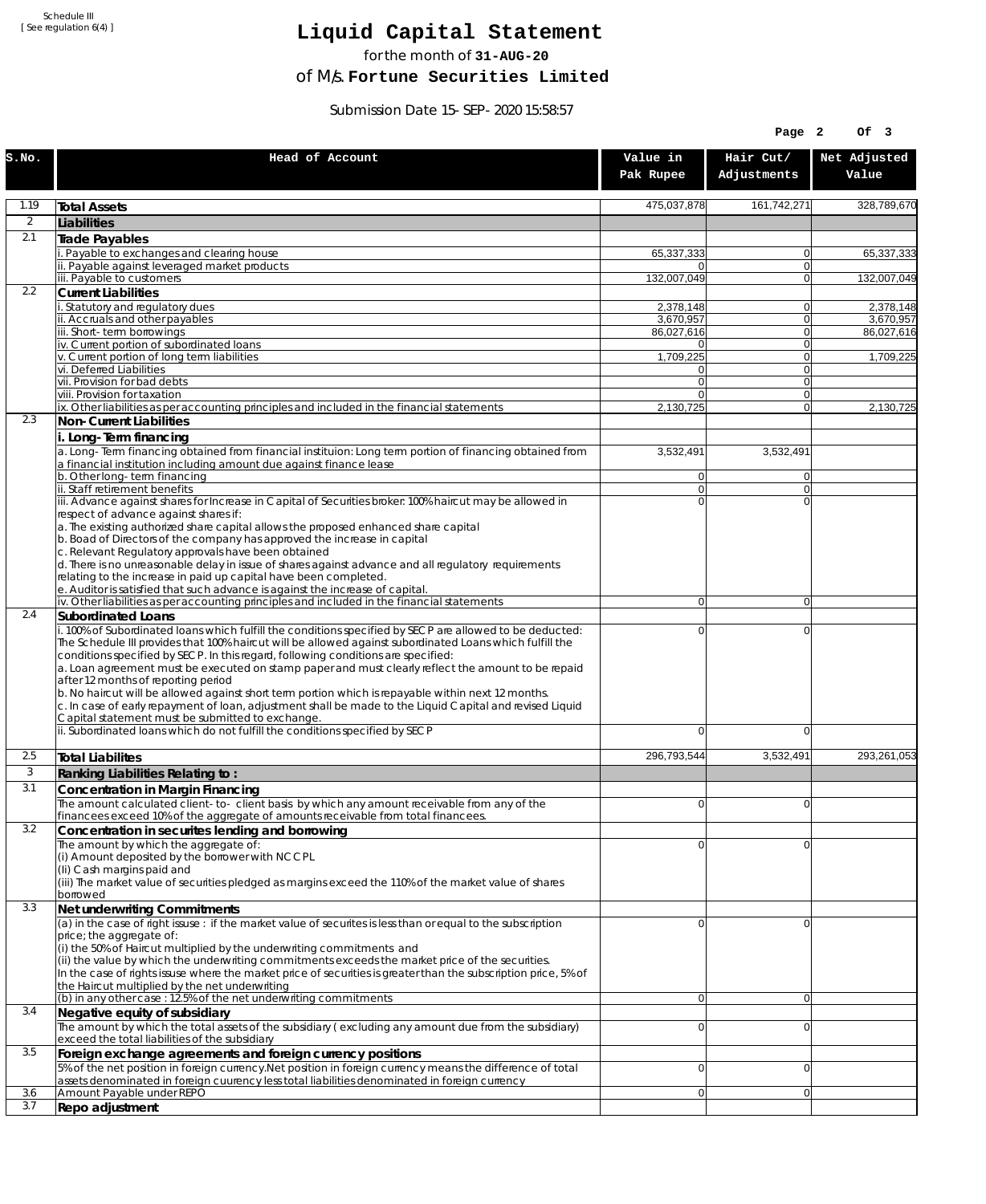Schedule III [ See regulation 6(4) ]

## **Liquid Capital Statement**

for the month of **31-AUG-20**

of M/s. **Fortune Securities Limited**

Submission Date 15-SEP-2020 15:58:57

| Hair Cut/<br>Net Adjusted<br>Head of Account<br>Value in<br>S.NO.<br>Adjustments<br>Value<br>Pak Rupee<br>1.19<br>475,037,878<br>161,742,271<br><b>Total Assets</b><br>$\overline{2}$<br>Liabilities<br>2.1<br>Trade Payables<br>Payable to exchanges and clearing house<br>65,337,333<br>0<br>ii. Payable against leveraged market products<br>$\mathbf{0}$<br>iii. Payable to customers<br>132,007,049<br>0<br>132,007,049<br>2.2<br><b>Current Liabilities</b><br>. Statutory and regulatory dues<br>2.378.148<br>0<br>ii. Accruals and other payables<br>3,670,957<br>$\mathbf{0}$<br>3,670,957<br>iii. Short-term borrowings<br>0<br>86,027,616<br>86,027,616<br>iv. Current portion of subordinated loans<br>0<br>01<br>v. Current portion of long term liabilities<br>1,709,225<br>$\mathbf{0}$<br>vi. Deferred Liabilities<br>0<br>0<br>vii. Provision for bad debts<br>$\overline{0}$<br>$\mathbf{0}$<br>viii. Provision for taxation<br>$\Omega$<br>$\mathbf{0}$<br>ix. Other liabilities as per accounting principles and included in the financial statements<br>2,130,725<br>$\overline{0}$<br>2.3<br>Non-Current Liabilities<br>i. Long-Term financing<br>a. Long-Term financing obtained from financial instituion: Long term portion of financing obtained from<br>3,532,491<br>3,532,491<br>a financial institution including amount due against finance lease<br>b. Other long-term financing<br>$\overline{0}$<br>$\mathbf{0}$<br>ii. Staff retirement benefits<br>$\overline{0}$<br>0<br>iii. Advance against shares for Increase in Capital of Securities broker: 100% haircut may be allowed in<br>$\Omega$<br>$\Omega$<br>respect of advance against shares if:<br>a. The existing authorized share capital allows the proposed enhanced share capital<br>b. Boad of Directors of the company has approved the increase in capital<br>c. Relevant Regulatory approvals have been obtained<br>d. There is no unreasonable delay in issue of shares against advance and all regulatory requirements<br>relating to the increase in paid up capital have been completed.<br>e. Auditor is satisfied that such advance is against the increase of capital.<br>iv. Other liabilities as per accounting principles and included in the financial statements<br>$\overline{0}$<br>$\overline{0}$<br>2.4<br><b>Subordinated Loans</b><br>. 100% of Subordinated loans which fulfill the conditions specified by SECP are allowed to be deducted:<br>0<br>0<br>The Schedule III provides that 100% haircut will be allowed against subordinated Loans which fulfill the<br>conditions specified by SECP. In this regard, following conditions are specified:<br>a. Loan agreement must be executed on stamp paper and must clearly reflect the amount to be repaid<br>after 12 months of reporting period<br>b. No haircut will be allowed against short term portion which is repayable within next 12 months.<br>c. In case of early repayment of loan, adjustment shall be made to the Liquid Capital and revised Liquid<br>Capital statement must be submitted to exchange.<br>ii. Subordinated loans which do not fulfill the conditions specified by SECP<br>0<br>0<br>293,261,053<br>2.5<br>296,793,544<br>3,532,491<br><b>Total Liabilites</b><br>3<br>Ranking Liabilities Relating to:<br>3.1<br>Concentration in Margin Financing<br>The amount calculated client-to- client basis by which any amount receivable from any of the<br>ΩI<br>$\Omega$<br>financees exceed 10% of the aggregate of amounts receivable from total financees.<br>3.2<br>Concentration in securites lending and borrowing<br>The amount by which the aggregate of:<br>0<br>0<br>(i) Amount deposited by the borrower with NCCPL<br>(Ii) Cash margins paid and<br>(iii) The market value of securities pledged as margins exceed the 110% of the market value of shares<br>borrowed<br>3.3<br>Net underwriting Commitments<br>(a) in the case of right issuse : if the market value of securites is less than or equal to the subscription<br>0<br>0<br>price; the aggregate of:<br>(i) the 50% of Haircut multiplied by the underwriting commitments and<br>(ii) the value by which the underwriting commitments exceeds the market price of the securities.<br>In the case of rights issuse where the market price of securities is greater than the subscription price, 5% of<br>the Haircut multiplied by the net underwriting<br>(b) in any other case: 12.5% of the net underwriting commitments<br> 0 <br>0<br>3.4<br>Negative equity of subsidiary<br>The amount by which the total assets of the subsidiary (excluding any amount due from the subsidiary)<br>$\overline{0}$<br>0<br>exceed the total liabilities of the subsidiary<br>3.5<br>Foreign exchange agreements and foreign currency positions<br>5% of the net position in foreign currency. Net position in foreign currency means the difference of total<br>0<br>0<br>assets denominated in foreign cuurency less total liabilities denominated in foreign currency<br>3.6<br>Amount Payable under REPO<br>0<br> 0 <br>3.7<br>Repo adjustment |  | Page 2 | OF <sub>3</sub> |
|-----------------------------------------------------------------------------------------------------------------------------------------------------------------------------------------------------------------------------------------------------------------------------------------------------------------------------------------------------------------------------------------------------------------------------------------------------------------------------------------------------------------------------------------------------------------------------------------------------------------------------------------------------------------------------------------------------------------------------------------------------------------------------------------------------------------------------------------------------------------------------------------------------------------------------------------------------------------------------------------------------------------------------------------------------------------------------------------------------------------------------------------------------------------------------------------------------------------------------------------------------------------------------------------------------------------------------------------------------------------------------------------------------------------------------------------------------------------------------------------------------------------------------------------------------------------------------------------------------------------------------------------------------------------------------------------------------------------------------------------------------------------------------------------------------------------------------------------------------------------------------------------------------------------------------------------------------------------------------------------------------------------------------------------------------------------------------------------------------------------------------------------------------------------------------------------------------------------------------------------------------------------------------------------------------------------------------------------------------------------------------------------------------------------------------------------------------------------------------------------------------------------------------------------------------------------------------------------------------------------------------------------------------------------------------------------------------------------------------------------------------------------------------------------------------------------------------------------------------------------------------------------------------------------------------------------------------------------------------------------------------------------------------------------------------------------------------------------------------------------------------------------------------------------------------------------------------------------------------------------------------------------------------------------------------------------------------------------------------------------------------------------------------------------------------------------------------------------------------------------------------------------------------------------------------------------------------------------------------------------------------------------------------------------------------------------------------------------------------------------------------------------------------------------------------------------------------------------------------------------------------------------------------------------------------------------------------------------------------------------------------------------------------------------------------------------------------------------------------------------------------------------------------------------------------------------------------------------------------------------------------------------------------------------------------------------------------------------------------------------------------------------------------------------------------------------------------------------------------------------------------------------------------------------------------------------------------------------------------------------------------------------------------------------------------------------------------------------------------------------------------------------------------------------------------------------------------------------------------------------------------------------------------------------------------------------------------------------------------------------------------------------------------------------------------------------------------------------------------------------------|--|--------|-----------------|
|                                                                                                                                                                                                                                                                                                                                                                                                                                                                                                                                                                                                                                                                                                                                                                                                                                                                                                                                                                                                                                                                                                                                                                                                                                                                                                                                                                                                                                                                                                                                                                                                                                                                                                                                                                                                                                                                                                                                                                                                                                                                                                                                                                                                                                                                                                                                                                                                                                                                                                                                                                                                                                                                                                                                                                                                                                                                                                                                                                                                                                                                                                                                                                                                                                                                                                                                                                                                                                                                                                                                                                                                                                                                                                                                                                                                                                                                                                                                                                                                                                                                                                                                                                                                                                                                                                                                                                                                                                                                                                                                                                                                                                                                                                                                                                                                                                                                                                                                                                                                                                                                                                                       |  |        |                 |
|                                                                                                                                                                                                                                                                                                                                                                                                                                                                                                                                                                                                                                                                                                                                                                                                                                                                                                                                                                                                                                                                                                                                                                                                                                                                                                                                                                                                                                                                                                                                                                                                                                                                                                                                                                                                                                                                                                                                                                                                                                                                                                                                                                                                                                                                                                                                                                                                                                                                                                                                                                                                                                                                                                                                                                                                                                                                                                                                                                                                                                                                                                                                                                                                                                                                                                                                                                                                                                                                                                                                                                                                                                                                                                                                                                                                                                                                                                                                                                                                                                                                                                                                                                                                                                                                                                                                                                                                                                                                                                                                                                                                                                                                                                                                                                                                                                                                                                                                                                                                                                                                                                                       |  |        | 328,789,670     |
|                                                                                                                                                                                                                                                                                                                                                                                                                                                                                                                                                                                                                                                                                                                                                                                                                                                                                                                                                                                                                                                                                                                                                                                                                                                                                                                                                                                                                                                                                                                                                                                                                                                                                                                                                                                                                                                                                                                                                                                                                                                                                                                                                                                                                                                                                                                                                                                                                                                                                                                                                                                                                                                                                                                                                                                                                                                                                                                                                                                                                                                                                                                                                                                                                                                                                                                                                                                                                                                                                                                                                                                                                                                                                                                                                                                                                                                                                                                                                                                                                                                                                                                                                                                                                                                                                                                                                                                                                                                                                                                                                                                                                                                                                                                                                                                                                                                                                                                                                                                                                                                                                                                       |  |        |                 |
|                                                                                                                                                                                                                                                                                                                                                                                                                                                                                                                                                                                                                                                                                                                                                                                                                                                                                                                                                                                                                                                                                                                                                                                                                                                                                                                                                                                                                                                                                                                                                                                                                                                                                                                                                                                                                                                                                                                                                                                                                                                                                                                                                                                                                                                                                                                                                                                                                                                                                                                                                                                                                                                                                                                                                                                                                                                                                                                                                                                                                                                                                                                                                                                                                                                                                                                                                                                                                                                                                                                                                                                                                                                                                                                                                                                                                                                                                                                                                                                                                                                                                                                                                                                                                                                                                                                                                                                                                                                                                                                                                                                                                                                                                                                                                                                                                                                                                                                                                                                                                                                                                                                       |  |        |                 |
|                                                                                                                                                                                                                                                                                                                                                                                                                                                                                                                                                                                                                                                                                                                                                                                                                                                                                                                                                                                                                                                                                                                                                                                                                                                                                                                                                                                                                                                                                                                                                                                                                                                                                                                                                                                                                                                                                                                                                                                                                                                                                                                                                                                                                                                                                                                                                                                                                                                                                                                                                                                                                                                                                                                                                                                                                                                                                                                                                                                                                                                                                                                                                                                                                                                                                                                                                                                                                                                                                                                                                                                                                                                                                                                                                                                                                                                                                                                                                                                                                                                                                                                                                                                                                                                                                                                                                                                                                                                                                                                                                                                                                                                                                                                                                                                                                                                                                                                                                                                                                                                                                                                       |  |        | 65,337,333      |
|                                                                                                                                                                                                                                                                                                                                                                                                                                                                                                                                                                                                                                                                                                                                                                                                                                                                                                                                                                                                                                                                                                                                                                                                                                                                                                                                                                                                                                                                                                                                                                                                                                                                                                                                                                                                                                                                                                                                                                                                                                                                                                                                                                                                                                                                                                                                                                                                                                                                                                                                                                                                                                                                                                                                                                                                                                                                                                                                                                                                                                                                                                                                                                                                                                                                                                                                                                                                                                                                                                                                                                                                                                                                                                                                                                                                                                                                                                                                                                                                                                                                                                                                                                                                                                                                                                                                                                                                                                                                                                                                                                                                                                                                                                                                                                                                                                                                                                                                                                                                                                                                                                                       |  |        |                 |
|                                                                                                                                                                                                                                                                                                                                                                                                                                                                                                                                                                                                                                                                                                                                                                                                                                                                                                                                                                                                                                                                                                                                                                                                                                                                                                                                                                                                                                                                                                                                                                                                                                                                                                                                                                                                                                                                                                                                                                                                                                                                                                                                                                                                                                                                                                                                                                                                                                                                                                                                                                                                                                                                                                                                                                                                                                                                                                                                                                                                                                                                                                                                                                                                                                                                                                                                                                                                                                                                                                                                                                                                                                                                                                                                                                                                                                                                                                                                                                                                                                                                                                                                                                                                                                                                                                                                                                                                                                                                                                                                                                                                                                                                                                                                                                                                                                                                                                                                                                                                                                                                                                                       |  |        |                 |
|                                                                                                                                                                                                                                                                                                                                                                                                                                                                                                                                                                                                                                                                                                                                                                                                                                                                                                                                                                                                                                                                                                                                                                                                                                                                                                                                                                                                                                                                                                                                                                                                                                                                                                                                                                                                                                                                                                                                                                                                                                                                                                                                                                                                                                                                                                                                                                                                                                                                                                                                                                                                                                                                                                                                                                                                                                                                                                                                                                                                                                                                                                                                                                                                                                                                                                                                                                                                                                                                                                                                                                                                                                                                                                                                                                                                                                                                                                                                                                                                                                                                                                                                                                                                                                                                                                                                                                                                                                                                                                                                                                                                                                                                                                                                                                                                                                                                                                                                                                                                                                                                                                                       |  |        | 2,378,148       |
|                                                                                                                                                                                                                                                                                                                                                                                                                                                                                                                                                                                                                                                                                                                                                                                                                                                                                                                                                                                                                                                                                                                                                                                                                                                                                                                                                                                                                                                                                                                                                                                                                                                                                                                                                                                                                                                                                                                                                                                                                                                                                                                                                                                                                                                                                                                                                                                                                                                                                                                                                                                                                                                                                                                                                                                                                                                                                                                                                                                                                                                                                                                                                                                                                                                                                                                                                                                                                                                                                                                                                                                                                                                                                                                                                                                                                                                                                                                                                                                                                                                                                                                                                                                                                                                                                                                                                                                                                                                                                                                                                                                                                                                                                                                                                                                                                                                                                                                                                                                                                                                                                                                       |  |        |                 |
|                                                                                                                                                                                                                                                                                                                                                                                                                                                                                                                                                                                                                                                                                                                                                                                                                                                                                                                                                                                                                                                                                                                                                                                                                                                                                                                                                                                                                                                                                                                                                                                                                                                                                                                                                                                                                                                                                                                                                                                                                                                                                                                                                                                                                                                                                                                                                                                                                                                                                                                                                                                                                                                                                                                                                                                                                                                                                                                                                                                                                                                                                                                                                                                                                                                                                                                                                                                                                                                                                                                                                                                                                                                                                                                                                                                                                                                                                                                                                                                                                                                                                                                                                                                                                                                                                                                                                                                                                                                                                                                                                                                                                                                                                                                                                                                                                                                                                                                                                                                                                                                                                                                       |  |        |                 |
|                                                                                                                                                                                                                                                                                                                                                                                                                                                                                                                                                                                                                                                                                                                                                                                                                                                                                                                                                                                                                                                                                                                                                                                                                                                                                                                                                                                                                                                                                                                                                                                                                                                                                                                                                                                                                                                                                                                                                                                                                                                                                                                                                                                                                                                                                                                                                                                                                                                                                                                                                                                                                                                                                                                                                                                                                                                                                                                                                                                                                                                                                                                                                                                                                                                                                                                                                                                                                                                                                                                                                                                                                                                                                                                                                                                                                                                                                                                                                                                                                                                                                                                                                                                                                                                                                                                                                                                                                                                                                                                                                                                                                                                                                                                                                                                                                                                                                                                                                                                                                                                                                                                       |  |        | 1,709,225       |
|                                                                                                                                                                                                                                                                                                                                                                                                                                                                                                                                                                                                                                                                                                                                                                                                                                                                                                                                                                                                                                                                                                                                                                                                                                                                                                                                                                                                                                                                                                                                                                                                                                                                                                                                                                                                                                                                                                                                                                                                                                                                                                                                                                                                                                                                                                                                                                                                                                                                                                                                                                                                                                                                                                                                                                                                                                                                                                                                                                                                                                                                                                                                                                                                                                                                                                                                                                                                                                                                                                                                                                                                                                                                                                                                                                                                                                                                                                                                                                                                                                                                                                                                                                                                                                                                                                                                                                                                                                                                                                                                                                                                                                                                                                                                                                                                                                                                                                                                                                                                                                                                                                                       |  |        |                 |
|                                                                                                                                                                                                                                                                                                                                                                                                                                                                                                                                                                                                                                                                                                                                                                                                                                                                                                                                                                                                                                                                                                                                                                                                                                                                                                                                                                                                                                                                                                                                                                                                                                                                                                                                                                                                                                                                                                                                                                                                                                                                                                                                                                                                                                                                                                                                                                                                                                                                                                                                                                                                                                                                                                                                                                                                                                                                                                                                                                                                                                                                                                                                                                                                                                                                                                                                                                                                                                                                                                                                                                                                                                                                                                                                                                                                                                                                                                                                                                                                                                                                                                                                                                                                                                                                                                                                                                                                                                                                                                                                                                                                                                                                                                                                                                                                                                                                                                                                                                                                                                                                                                                       |  |        |                 |
|                                                                                                                                                                                                                                                                                                                                                                                                                                                                                                                                                                                                                                                                                                                                                                                                                                                                                                                                                                                                                                                                                                                                                                                                                                                                                                                                                                                                                                                                                                                                                                                                                                                                                                                                                                                                                                                                                                                                                                                                                                                                                                                                                                                                                                                                                                                                                                                                                                                                                                                                                                                                                                                                                                                                                                                                                                                                                                                                                                                                                                                                                                                                                                                                                                                                                                                                                                                                                                                                                                                                                                                                                                                                                                                                                                                                                                                                                                                                                                                                                                                                                                                                                                                                                                                                                                                                                                                                                                                                                                                                                                                                                                                                                                                                                                                                                                                                                                                                                                                                                                                                                                                       |  |        | 2,130,725       |
|                                                                                                                                                                                                                                                                                                                                                                                                                                                                                                                                                                                                                                                                                                                                                                                                                                                                                                                                                                                                                                                                                                                                                                                                                                                                                                                                                                                                                                                                                                                                                                                                                                                                                                                                                                                                                                                                                                                                                                                                                                                                                                                                                                                                                                                                                                                                                                                                                                                                                                                                                                                                                                                                                                                                                                                                                                                                                                                                                                                                                                                                                                                                                                                                                                                                                                                                                                                                                                                                                                                                                                                                                                                                                                                                                                                                                                                                                                                                                                                                                                                                                                                                                                                                                                                                                                                                                                                                                                                                                                                                                                                                                                                                                                                                                                                                                                                                                                                                                                                                                                                                                                                       |  |        |                 |
|                                                                                                                                                                                                                                                                                                                                                                                                                                                                                                                                                                                                                                                                                                                                                                                                                                                                                                                                                                                                                                                                                                                                                                                                                                                                                                                                                                                                                                                                                                                                                                                                                                                                                                                                                                                                                                                                                                                                                                                                                                                                                                                                                                                                                                                                                                                                                                                                                                                                                                                                                                                                                                                                                                                                                                                                                                                                                                                                                                                                                                                                                                                                                                                                                                                                                                                                                                                                                                                                                                                                                                                                                                                                                                                                                                                                                                                                                                                                                                                                                                                                                                                                                                                                                                                                                                                                                                                                                                                                                                                                                                                                                                                                                                                                                                                                                                                                                                                                                                                                                                                                                                                       |  |        |                 |
|                                                                                                                                                                                                                                                                                                                                                                                                                                                                                                                                                                                                                                                                                                                                                                                                                                                                                                                                                                                                                                                                                                                                                                                                                                                                                                                                                                                                                                                                                                                                                                                                                                                                                                                                                                                                                                                                                                                                                                                                                                                                                                                                                                                                                                                                                                                                                                                                                                                                                                                                                                                                                                                                                                                                                                                                                                                                                                                                                                                                                                                                                                                                                                                                                                                                                                                                                                                                                                                                                                                                                                                                                                                                                                                                                                                                                                                                                                                                                                                                                                                                                                                                                                                                                                                                                                                                                                                                                                                                                                                                                                                                                                                                                                                                                                                                                                                                                                                                                                                                                                                                                                                       |  |        |                 |
|                                                                                                                                                                                                                                                                                                                                                                                                                                                                                                                                                                                                                                                                                                                                                                                                                                                                                                                                                                                                                                                                                                                                                                                                                                                                                                                                                                                                                                                                                                                                                                                                                                                                                                                                                                                                                                                                                                                                                                                                                                                                                                                                                                                                                                                                                                                                                                                                                                                                                                                                                                                                                                                                                                                                                                                                                                                                                                                                                                                                                                                                                                                                                                                                                                                                                                                                                                                                                                                                                                                                                                                                                                                                                                                                                                                                                                                                                                                                                                                                                                                                                                                                                                                                                                                                                                                                                                                                                                                                                                                                                                                                                                                                                                                                                                                                                                                                                                                                                                                                                                                                                                                       |  |        |                 |
|                                                                                                                                                                                                                                                                                                                                                                                                                                                                                                                                                                                                                                                                                                                                                                                                                                                                                                                                                                                                                                                                                                                                                                                                                                                                                                                                                                                                                                                                                                                                                                                                                                                                                                                                                                                                                                                                                                                                                                                                                                                                                                                                                                                                                                                                                                                                                                                                                                                                                                                                                                                                                                                                                                                                                                                                                                                                                                                                                                                                                                                                                                                                                                                                                                                                                                                                                                                                                                                                                                                                                                                                                                                                                                                                                                                                                                                                                                                                                                                                                                                                                                                                                                                                                                                                                                                                                                                                                                                                                                                                                                                                                                                                                                                                                                                                                                                                                                                                                                                                                                                                                                                       |  |        |                 |
|                                                                                                                                                                                                                                                                                                                                                                                                                                                                                                                                                                                                                                                                                                                                                                                                                                                                                                                                                                                                                                                                                                                                                                                                                                                                                                                                                                                                                                                                                                                                                                                                                                                                                                                                                                                                                                                                                                                                                                                                                                                                                                                                                                                                                                                                                                                                                                                                                                                                                                                                                                                                                                                                                                                                                                                                                                                                                                                                                                                                                                                                                                                                                                                                                                                                                                                                                                                                                                                                                                                                                                                                                                                                                                                                                                                                                                                                                                                                                                                                                                                                                                                                                                                                                                                                                                                                                                                                                                                                                                                                                                                                                                                                                                                                                                                                                                                                                                                                                                                                                                                                                                                       |  |        |                 |
|                                                                                                                                                                                                                                                                                                                                                                                                                                                                                                                                                                                                                                                                                                                                                                                                                                                                                                                                                                                                                                                                                                                                                                                                                                                                                                                                                                                                                                                                                                                                                                                                                                                                                                                                                                                                                                                                                                                                                                                                                                                                                                                                                                                                                                                                                                                                                                                                                                                                                                                                                                                                                                                                                                                                                                                                                                                                                                                                                                                                                                                                                                                                                                                                                                                                                                                                                                                                                                                                                                                                                                                                                                                                                                                                                                                                                                                                                                                                                                                                                                                                                                                                                                                                                                                                                                                                                                                                                                                                                                                                                                                                                                                                                                                                                                                                                                                                                                                                                                                                                                                                                                                       |  |        |                 |
|                                                                                                                                                                                                                                                                                                                                                                                                                                                                                                                                                                                                                                                                                                                                                                                                                                                                                                                                                                                                                                                                                                                                                                                                                                                                                                                                                                                                                                                                                                                                                                                                                                                                                                                                                                                                                                                                                                                                                                                                                                                                                                                                                                                                                                                                                                                                                                                                                                                                                                                                                                                                                                                                                                                                                                                                                                                                                                                                                                                                                                                                                                                                                                                                                                                                                                                                                                                                                                                                                                                                                                                                                                                                                                                                                                                                                                                                                                                                                                                                                                                                                                                                                                                                                                                                                                                                                                                                                                                                                                                                                                                                                                                                                                                                                                                                                                                                                                                                                                                                                                                                                                                       |  |        |                 |
|                                                                                                                                                                                                                                                                                                                                                                                                                                                                                                                                                                                                                                                                                                                                                                                                                                                                                                                                                                                                                                                                                                                                                                                                                                                                                                                                                                                                                                                                                                                                                                                                                                                                                                                                                                                                                                                                                                                                                                                                                                                                                                                                                                                                                                                                                                                                                                                                                                                                                                                                                                                                                                                                                                                                                                                                                                                                                                                                                                                                                                                                                                                                                                                                                                                                                                                                                                                                                                                                                                                                                                                                                                                                                                                                                                                                                                                                                                                                                                                                                                                                                                                                                                                                                                                                                                                                                                                                                                                                                                                                                                                                                                                                                                                                                                                                                                                                                                                                                                                                                                                                                                                       |  |        |                 |
|                                                                                                                                                                                                                                                                                                                                                                                                                                                                                                                                                                                                                                                                                                                                                                                                                                                                                                                                                                                                                                                                                                                                                                                                                                                                                                                                                                                                                                                                                                                                                                                                                                                                                                                                                                                                                                                                                                                                                                                                                                                                                                                                                                                                                                                                                                                                                                                                                                                                                                                                                                                                                                                                                                                                                                                                                                                                                                                                                                                                                                                                                                                                                                                                                                                                                                                                                                                                                                                                                                                                                                                                                                                                                                                                                                                                                                                                                                                                                                                                                                                                                                                                                                                                                                                                                                                                                                                                                                                                                                                                                                                                                                                                                                                                                                                                                                                                                                                                                                                                                                                                                                                       |  |        |                 |
|                                                                                                                                                                                                                                                                                                                                                                                                                                                                                                                                                                                                                                                                                                                                                                                                                                                                                                                                                                                                                                                                                                                                                                                                                                                                                                                                                                                                                                                                                                                                                                                                                                                                                                                                                                                                                                                                                                                                                                                                                                                                                                                                                                                                                                                                                                                                                                                                                                                                                                                                                                                                                                                                                                                                                                                                                                                                                                                                                                                                                                                                                                                                                                                                                                                                                                                                                                                                                                                                                                                                                                                                                                                                                                                                                                                                                                                                                                                                                                                                                                                                                                                                                                                                                                                                                                                                                                                                                                                                                                                                                                                                                                                                                                                                                                                                                                                                                                                                                                                                                                                                                                                       |  |        |                 |
|                                                                                                                                                                                                                                                                                                                                                                                                                                                                                                                                                                                                                                                                                                                                                                                                                                                                                                                                                                                                                                                                                                                                                                                                                                                                                                                                                                                                                                                                                                                                                                                                                                                                                                                                                                                                                                                                                                                                                                                                                                                                                                                                                                                                                                                                                                                                                                                                                                                                                                                                                                                                                                                                                                                                                                                                                                                                                                                                                                                                                                                                                                                                                                                                                                                                                                                                                                                                                                                                                                                                                                                                                                                                                                                                                                                                                                                                                                                                                                                                                                                                                                                                                                                                                                                                                                                                                                                                                                                                                                                                                                                                                                                                                                                                                                                                                                                                                                                                                                                                                                                                                                                       |  |        |                 |
|                                                                                                                                                                                                                                                                                                                                                                                                                                                                                                                                                                                                                                                                                                                                                                                                                                                                                                                                                                                                                                                                                                                                                                                                                                                                                                                                                                                                                                                                                                                                                                                                                                                                                                                                                                                                                                                                                                                                                                                                                                                                                                                                                                                                                                                                                                                                                                                                                                                                                                                                                                                                                                                                                                                                                                                                                                                                                                                                                                                                                                                                                                                                                                                                                                                                                                                                                                                                                                                                                                                                                                                                                                                                                                                                                                                                                                                                                                                                                                                                                                                                                                                                                                                                                                                                                                                                                                                                                                                                                                                                                                                                                                                                                                                                                                                                                                                                                                                                                                                                                                                                                                                       |  |        |                 |
|                                                                                                                                                                                                                                                                                                                                                                                                                                                                                                                                                                                                                                                                                                                                                                                                                                                                                                                                                                                                                                                                                                                                                                                                                                                                                                                                                                                                                                                                                                                                                                                                                                                                                                                                                                                                                                                                                                                                                                                                                                                                                                                                                                                                                                                                                                                                                                                                                                                                                                                                                                                                                                                                                                                                                                                                                                                                                                                                                                                                                                                                                                                                                                                                                                                                                                                                                                                                                                                                                                                                                                                                                                                                                                                                                                                                                                                                                                                                                                                                                                                                                                                                                                                                                                                                                                                                                                                                                                                                                                                                                                                                                                                                                                                                                                                                                                                                                                                                                                                                                                                                                                                       |  |        |                 |
|                                                                                                                                                                                                                                                                                                                                                                                                                                                                                                                                                                                                                                                                                                                                                                                                                                                                                                                                                                                                                                                                                                                                                                                                                                                                                                                                                                                                                                                                                                                                                                                                                                                                                                                                                                                                                                                                                                                                                                                                                                                                                                                                                                                                                                                                                                                                                                                                                                                                                                                                                                                                                                                                                                                                                                                                                                                                                                                                                                                                                                                                                                                                                                                                                                                                                                                                                                                                                                                                                                                                                                                                                                                                                                                                                                                                                                                                                                                                                                                                                                                                                                                                                                                                                                                                                                                                                                                                                                                                                                                                                                                                                                                                                                                                                                                                                                                                                                                                                                                                                                                                                                                       |  |        |                 |
|                                                                                                                                                                                                                                                                                                                                                                                                                                                                                                                                                                                                                                                                                                                                                                                                                                                                                                                                                                                                                                                                                                                                                                                                                                                                                                                                                                                                                                                                                                                                                                                                                                                                                                                                                                                                                                                                                                                                                                                                                                                                                                                                                                                                                                                                                                                                                                                                                                                                                                                                                                                                                                                                                                                                                                                                                                                                                                                                                                                                                                                                                                                                                                                                                                                                                                                                                                                                                                                                                                                                                                                                                                                                                                                                                                                                                                                                                                                                                                                                                                                                                                                                                                                                                                                                                                                                                                                                                                                                                                                                                                                                                                                                                                                                                                                                                                                                                                                                                                                                                                                                                                                       |  |        |                 |
|                                                                                                                                                                                                                                                                                                                                                                                                                                                                                                                                                                                                                                                                                                                                                                                                                                                                                                                                                                                                                                                                                                                                                                                                                                                                                                                                                                                                                                                                                                                                                                                                                                                                                                                                                                                                                                                                                                                                                                                                                                                                                                                                                                                                                                                                                                                                                                                                                                                                                                                                                                                                                                                                                                                                                                                                                                                                                                                                                                                                                                                                                                                                                                                                                                                                                                                                                                                                                                                                                                                                                                                                                                                                                                                                                                                                                                                                                                                                                                                                                                                                                                                                                                                                                                                                                                                                                                                                                                                                                                                                                                                                                                                                                                                                                                                                                                                                                                                                                                                                                                                                                                                       |  |        |                 |
|                                                                                                                                                                                                                                                                                                                                                                                                                                                                                                                                                                                                                                                                                                                                                                                                                                                                                                                                                                                                                                                                                                                                                                                                                                                                                                                                                                                                                                                                                                                                                                                                                                                                                                                                                                                                                                                                                                                                                                                                                                                                                                                                                                                                                                                                                                                                                                                                                                                                                                                                                                                                                                                                                                                                                                                                                                                                                                                                                                                                                                                                                                                                                                                                                                                                                                                                                                                                                                                                                                                                                                                                                                                                                                                                                                                                                                                                                                                                                                                                                                                                                                                                                                                                                                                                                                                                                                                                                                                                                                                                                                                                                                                                                                                                                                                                                                                                                                                                                                                                                                                                                                                       |  |        |                 |
|                                                                                                                                                                                                                                                                                                                                                                                                                                                                                                                                                                                                                                                                                                                                                                                                                                                                                                                                                                                                                                                                                                                                                                                                                                                                                                                                                                                                                                                                                                                                                                                                                                                                                                                                                                                                                                                                                                                                                                                                                                                                                                                                                                                                                                                                                                                                                                                                                                                                                                                                                                                                                                                                                                                                                                                                                                                                                                                                                                                                                                                                                                                                                                                                                                                                                                                                                                                                                                                                                                                                                                                                                                                                                                                                                                                                                                                                                                                                                                                                                                                                                                                                                                                                                                                                                                                                                                                                                                                                                                                                                                                                                                                                                                                                                                                                                                                                                                                                                                                                                                                                                                                       |  |        |                 |
|                                                                                                                                                                                                                                                                                                                                                                                                                                                                                                                                                                                                                                                                                                                                                                                                                                                                                                                                                                                                                                                                                                                                                                                                                                                                                                                                                                                                                                                                                                                                                                                                                                                                                                                                                                                                                                                                                                                                                                                                                                                                                                                                                                                                                                                                                                                                                                                                                                                                                                                                                                                                                                                                                                                                                                                                                                                                                                                                                                                                                                                                                                                                                                                                                                                                                                                                                                                                                                                                                                                                                                                                                                                                                                                                                                                                                                                                                                                                                                                                                                                                                                                                                                                                                                                                                                                                                                                                                                                                                                                                                                                                                                                                                                                                                                                                                                                                                                                                                                                                                                                                                                                       |  |        |                 |
|                                                                                                                                                                                                                                                                                                                                                                                                                                                                                                                                                                                                                                                                                                                                                                                                                                                                                                                                                                                                                                                                                                                                                                                                                                                                                                                                                                                                                                                                                                                                                                                                                                                                                                                                                                                                                                                                                                                                                                                                                                                                                                                                                                                                                                                                                                                                                                                                                                                                                                                                                                                                                                                                                                                                                                                                                                                                                                                                                                                                                                                                                                                                                                                                                                                                                                                                                                                                                                                                                                                                                                                                                                                                                                                                                                                                                                                                                                                                                                                                                                                                                                                                                                                                                                                                                                                                                                                                                                                                                                                                                                                                                                                                                                                                                                                                                                                                                                                                                                                                                                                                                                                       |  |        |                 |
|                                                                                                                                                                                                                                                                                                                                                                                                                                                                                                                                                                                                                                                                                                                                                                                                                                                                                                                                                                                                                                                                                                                                                                                                                                                                                                                                                                                                                                                                                                                                                                                                                                                                                                                                                                                                                                                                                                                                                                                                                                                                                                                                                                                                                                                                                                                                                                                                                                                                                                                                                                                                                                                                                                                                                                                                                                                                                                                                                                                                                                                                                                                                                                                                                                                                                                                                                                                                                                                                                                                                                                                                                                                                                                                                                                                                                                                                                                                                                                                                                                                                                                                                                                                                                                                                                                                                                                                                                                                                                                                                                                                                                                                                                                                                                                                                                                                                                                                                                                                                                                                                                                                       |  |        |                 |